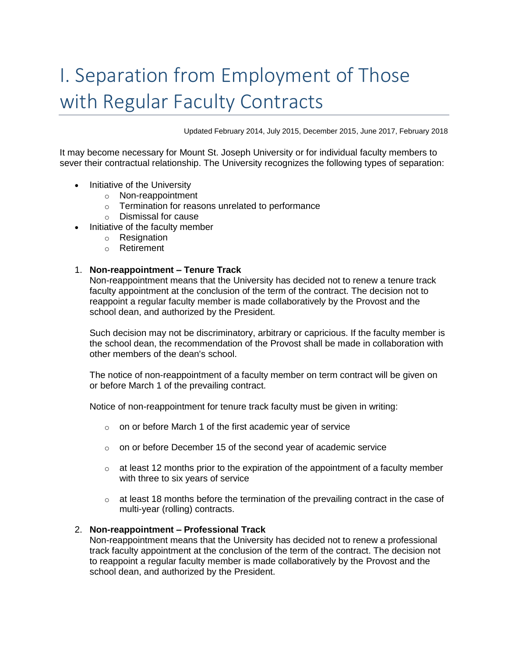# I. Separation from Employment of Those with Regular Faculty Contracts

Updated February 2014, July 2015, December 2015, June 2017, February 2018

It may become necessary for Mount St. Joseph University or for individual faculty members to sever their contractual relationship. The University recognizes the following types of separation:

- Initiative of the University
	- o Non-reappointment
	- o Termination for reasons unrelated to performance
	- o Dismissal for cause
- Initiative of the faculty member
	- o Resignation
	- o Retirement

#### 1. **Non-reappointment – Tenure Track**

Non-reappointment means that the University has decided not to renew a tenure track faculty appointment at the conclusion of the term of the contract. The decision not to reappoint a regular faculty member is made collaboratively by the Provost and the school dean, and authorized by the President.

Such decision may not be discriminatory, arbitrary or capricious. If the faculty member is the school dean, the recommendation of the Provost shall be made in collaboration with other members of the dean's school.

The notice of non-reappointment of a faculty member on term contract will be given on or before March 1 of the prevailing contract.

Notice of non-reappointment for tenure track faculty must be given in writing:

- $\circ$  on or before March 1 of the first academic year of service
- $\circ$  on or before December 15 of the second year of academic service
- $\circ$  at least 12 months prior to the expiration of the appointment of a faculty member with three to six years of service
- $\circ$  at least 18 months before the termination of the prevailing contract in the case of multi-year (rolling) contracts.

#### 2. **Non-reappointment – Professional Track**

Non-reappointment means that the University has decided not to renew a professional track faculty appointment at the conclusion of the term of the contract. The decision not to reappoint a regular faculty member is made collaboratively by the Provost and the school dean, and authorized by the President.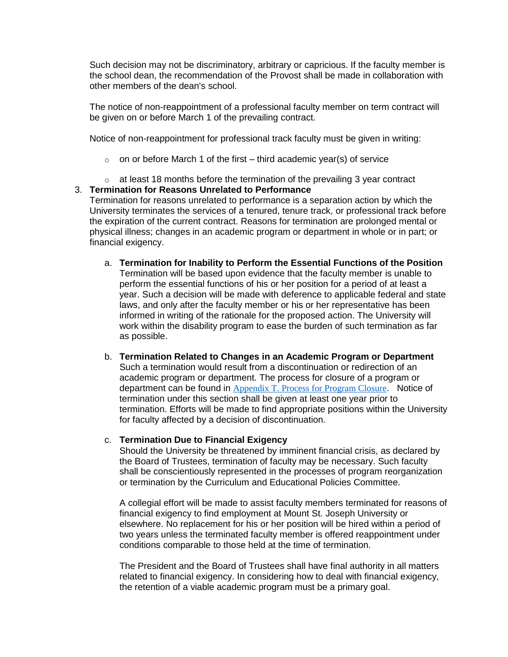Such decision may not be discriminatory, arbitrary or capricious. If the faculty member is the school dean, the recommendation of the Provost shall be made in collaboration with other members of the dean's school.

The notice of non-reappointment of a professional faculty member on term contract will be given on or before March 1 of the prevailing contract.

Notice of non-reappointment for professional track faculty must be given in writing:

- $\circ$  on or before March 1 of the first third academic year(s) of service
- $\circ$  at least 18 months before the termination of the prevailing 3 year contract

# 3. **Termination for Reasons Unrelated to Performance**

Termination for reasons unrelated to performance is a separation action by which the University terminates the services of a tenured, tenure track, or professional track before the expiration of the current contract. Reasons for termination are prolonged mental or physical illness; changes in an academic program or department in whole or in part; or financial exigency.

- a. **Termination for Inability to Perform the Essential Functions of the Position** Termination will be based upon evidence that the faculty member is unable to perform the essential functions of his or her position for a period of at least a year. Such a decision will be made with deference to applicable federal and state laws, and only after the faculty member or his or her representative has been informed in writing of the rationale for the proposed action. The University will work within the disability program to ease the burden of such termination as far as possible.
- b. **Termination Related to Changes in an Academic Program or Department** Such a termination would result from a discontinuation or redirection of an academic program or department. The process for closure of a program or department can be found in [Appendix T. Process for Program Closure](https://mymount.msj.edu/ICS/icsfs/T-_Process_for_Program_Closure.pdf?target=e152b575-51a8-4180-a104-c4140606ba93). Notice of termination under this section shall be given at least one year prior to termination. Efforts will be made to find appropriate positions within the University for faculty affected by a decision of discontinuation.

#### c. **Termination Due to Financial Exigency**

Should the University be threatened by imminent financial crisis, as declared by the Board of Trustees, termination of faculty may be necessary. Such faculty shall be conscientiously represented in the processes of program reorganization or termination by the Curriculum and Educational Policies Committee.

A collegial effort will be made to assist faculty members terminated for reasons of financial exigency to find employment at Mount St. Joseph University or elsewhere. No replacement for his or her position will be hired within a period of two years unless the terminated faculty member is offered reappointment under conditions comparable to those held at the time of termination.

The President and the Board of Trustees shall have final authority in all matters related to financial exigency. In considering how to deal with financial exigency, the retention of a viable academic program must be a primary goal.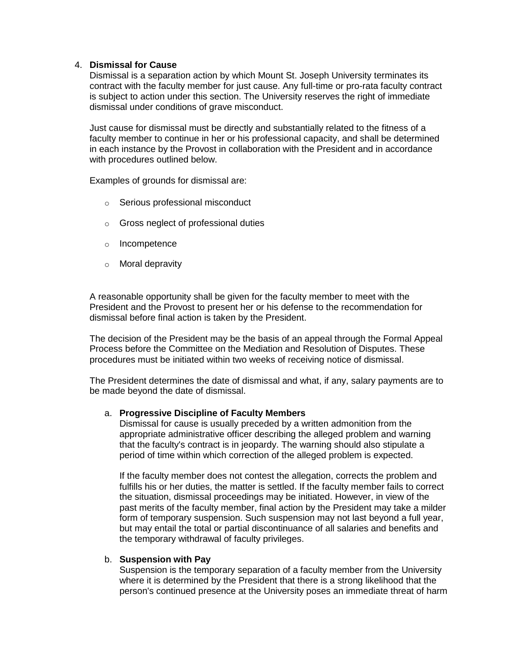## 4. **Dismissal for Cause**

Dismissal is a separation action by which Mount St. Joseph University terminates its contract with the faculty member for just cause. Any full-time or pro-rata faculty contract is subject to action under this section. The University reserves the right of immediate dismissal under conditions of grave misconduct.

Just cause for dismissal must be directly and substantially related to the fitness of a faculty member to continue in her or his professional capacity, and shall be determined in each instance by the Provost in collaboration with the President and in accordance with procedures outlined below.

Examples of grounds for dismissal are:

- o Serious professional misconduct
- o Gross neglect of professional duties
- o Incompetence
- o Moral depravity

A reasonable opportunity shall be given for the faculty member to meet with the President and the Provost to present her or his defense to the recommendation for dismissal before final action is taken by the President.

The decision of the President may be the basis of an appeal through the Formal Appeal Process before the Committee on the Mediation and Resolution of Disputes. These procedures must be initiated within two weeks of receiving notice of dismissal.

The President determines the date of dismissal and what, if any, salary payments are to be made beyond the date of dismissal.

#### a. **Progressive Discipline of Faculty Members**

Dismissal for cause is usually preceded by a written admonition from the appropriate administrative officer describing the alleged problem and warning that the faculty's contract is in jeopardy. The warning should also stipulate a period of time within which correction of the alleged problem is expected.

If the faculty member does not contest the allegation, corrects the problem and fulfills his or her duties, the matter is settled. If the faculty member fails to correct the situation, dismissal proceedings may be initiated. However, in view of the past merits of the faculty member, final action by the President may take a milder form of temporary suspension. Such suspension may not last beyond a full year, but may entail the total or partial discontinuance of all salaries and benefits and the temporary withdrawal of faculty privileges.

#### b. **Suspension with Pay**

Suspension is the temporary separation of a faculty member from the University where it is determined by the President that there is a strong likelihood that the person's continued presence at the University poses an immediate threat of harm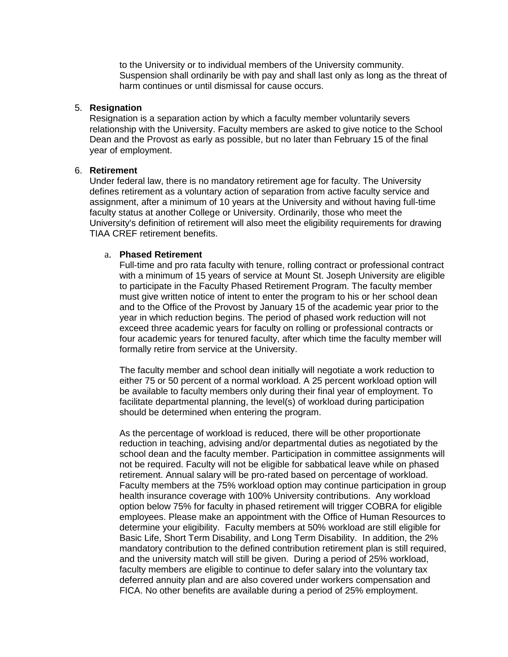to the University or to individual members of the University community. Suspension shall ordinarily be with pay and shall last only as long as the threat of harm continues or until dismissal for cause occurs.

#### 5. **Resignation**

Resignation is a separation action by which a faculty member voluntarily severs relationship with the University. Faculty members are asked to give notice to the School Dean and the Provost as early as possible, but no later than February 15 of the final year of employment.

#### 6. **Retirement**

Under federal law, there is no mandatory retirement age for faculty. The University defines retirement as a voluntary action of separation from active faculty service and assignment, after a minimum of 10 years at the University and without having full-time faculty status at another College or University. Ordinarily, those who meet the University's definition of retirement will also meet the eligibility requirements for drawing TIAA CREF retirement benefits.

#### a. **Phased Retirement**

Full-time and pro rata faculty with tenure, rolling contract or professional contract with a minimum of 15 years of service at Mount St. Joseph University are eligible to participate in the Faculty Phased Retirement Program. The faculty member must give written notice of intent to enter the program to his or her school dean and to the Office of the Provost by January 15 of the academic year prior to the year in which reduction begins. The period of phased work reduction will not exceed three academic years for faculty on rolling or professional contracts or four academic years for tenured faculty, after which time the faculty member will formally retire from service at the University.

The faculty member and school dean initially will negotiate a work reduction to either 75 or 50 percent of a normal workload. A 25 percent workload option will be available to faculty members only during their final year of employment. To facilitate departmental planning, the level(s) of workload during participation should be determined when entering the program.

As the percentage of workload is reduced, there will be other proportionate reduction in teaching, advising and/or departmental duties as negotiated by the school dean and the faculty member. Participation in committee assignments will not be required. Faculty will not be eligible for sabbatical leave while on phased retirement. Annual salary will be pro-rated based on percentage of workload. Faculty members at the 75% workload option may continue participation in group health insurance coverage with 100% University contributions. Any workload option below 75% for faculty in phased retirement will trigger COBRA for eligible employees. Please make an appointment with the Office of Human Resources to determine your eligibility. Faculty members at 50% workload are still eligible for Basic Life, Short Term Disability, and Long Term Disability. In addition, the 2% mandatory contribution to the defined contribution retirement plan is still required, and the university match will still be given. During a period of 25% workload, faculty members are eligible to continue to defer salary into the voluntary tax deferred annuity plan and are also covered under workers compensation and FICA. No other benefits are available during a period of 25% employment.